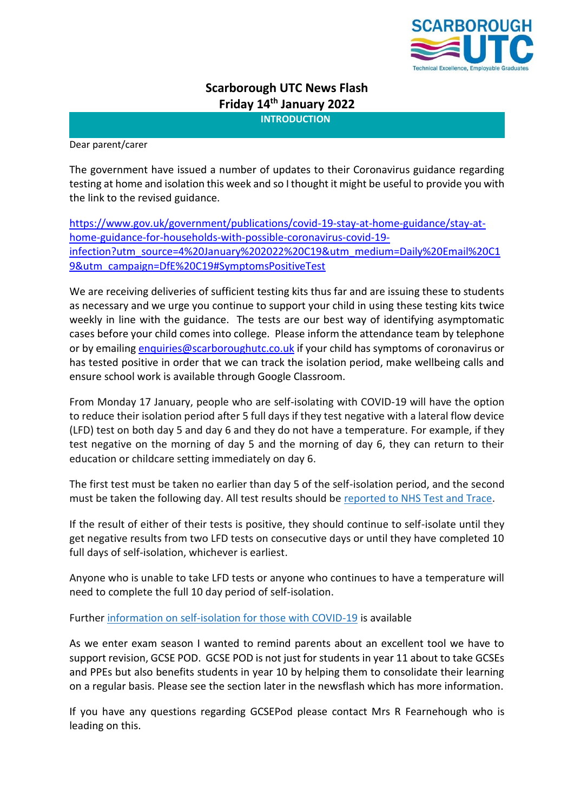

# **Scarborough UTC News Flash Friday 14th January 2022**

**INTRODUCTION**

Dear parent/carer

The government have issued a number of updates to their Coronavirus guidance regarding testing at home and isolation this week and so I thought it might be useful to provide you with the link to the revised guidance.

[https://www.gov.uk/government/publications/covid-19-stay-at-home-guidance/stay-at](https://www.gov.uk/government/publications/covid-19-stay-at-home-guidance/stay-at-home-guidance-for-households-with-possible-coronavirus-covid-19-infection?utm_source=4%20January%202022%20C19&utm_medium=Daily%20Email%20C19&utm_campaign=DfE%20C19#SymptomsPositiveTest)[home-guidance-for-households-with-possible-coronavirus-covid-19](https://www.gov.uk/government/publications/covid-19-stay-at-home-guidance/stay-at-home-guidance-for-households-with-possible-coronavirus-covid-19-infection?utm_source=4%20January%202022%20C19&utm_medium=Daily%20Email%20C19&utm_campaign=DfE%20C19#SymptomsPositiveTest) [infection?utm\\_source=4%20January%202022%20C19&utm\\_medium=Daily%20Email%20C1](https://www.gov.uk/government/publications/covid-19-stay-at-home-guidance/stay-at-home-guidance-for-households-with-possible-coronavirus-covid-19-infection?utm_source=4%20January%202022%20C19&utm_medium=Daily%20Email%20C19&utm_campaign=DfE%20C19#SymptomsPositiveTest) [9&utm\\_campaign=DfE%20C19#SymptomsPositiveTest](https://www.gov.uk/government/publications/covid-19-stay-at-home-guidance/stay-at-home-guidance-for-households-with-possible-coronavirus-covid-19-infection?utm_source=4%20January%202022%20C19&utm_medium=Daily%20Email%20C19&utm_campaign=DfE%20C19#SymptomsPositiveTest)

We are receiving deliveries of sufficient testing kits thus far and are issuing these to students as necessary and we urge you continue to support your child in using these testing kits twice weekly in line with the guidance. The tests are our best way of identifying asymptomatic cases before your child comes into college. Please inform the attendance team by telephone or by emailin[g enquiries@scarboroughutc.co.uk](mailto:enquiries@scarboroughutc.co.uk) if your child has symptoms of coronavirus or has tested positive in order that we can track the isolation period, make wellbeing calls and ensure school work is available through Google Classroom.

From Monday 17 January, people who are self-isolating with COVID-19 will have the option to reduce their isolation period after 5 full days if they test negative with a lateral flow device (LFD) test on both day 5 and day 6 and they do not have a temperature. For example, if they test negative on the morning of day 5 and the morning of day 6, they can return to their education or childcare setting immediately on day 6.

The first test must be taken no earlier than day 5 of the self-isolation period, and the second must be taken the following day. All test results should be [reported to NHS Test and Trace.](https://www.gov.uk/report-covid19-result?utm_source=14%20January%202022%20C19&utm_medium=Daily%20Email%20C19&utm_campaign=DfE%20C19)

If the result of either of their tests is positive, they should continue to self-isolate until they get negative results from two LFD tests on consecutive days or until they have completed 10 full days of self-isolation, whichever is earliest.

Anyone who is unable to take LFD tests or anyone who continues to have a temperature will need to complete the full 10 day period of self-isolation.

Further [information on self-isolation for those with COVID-19](https://www.gov.uk/government/news/self-isolation-for-those-with-covid-19-can-end-after-five-full-days-following-two-negative-lfd-tests?utm_source=14%20January%202022%20C19&utm_medium=Daily%20Email%20C19&utm_campaign=DfE%20C19) is available

As we enter exam season I wanted to remind parents about an excellent tool we have to support revision, GCSE POD. GCSE POD is not just for students in year 11 about to take GCSEs and PPEs but also benefits students in year 10 by helping them to consolidate their learning on a regular basis. Please see the section later in the newsflash which has more information.

If you have any questions regarding GCSEPod please contact Mrs R Fearnehough who is leading on this.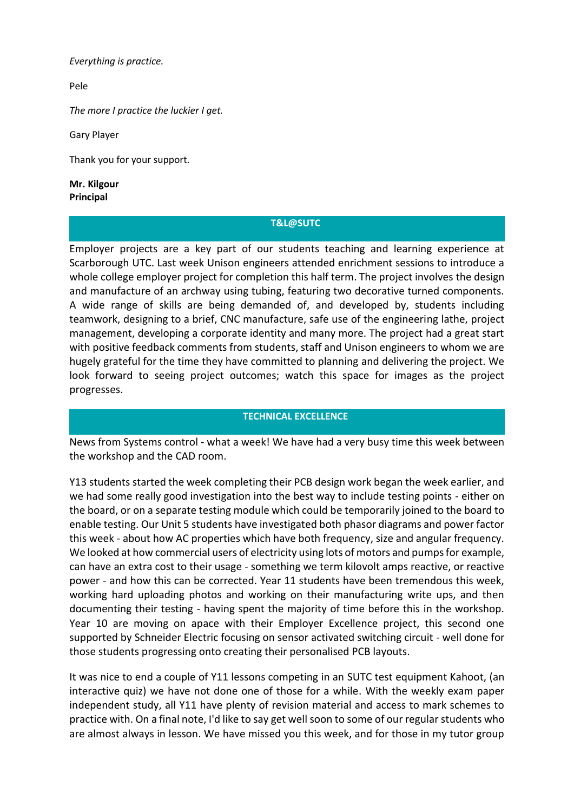*Everything is practice.*

[Pele](https://www.brainyquote.com/authors/pele-quotes)

*The more I practice the luckier I get.*

[Gary Player](https://www.brainyquote.com/authors/gary-player-quotes)

Thank you for your support.

**Mr. Kilgour Principal**

#### **T&L@SUTC**

Employer projects are a key part of our students teaching and learning experience at Scarborough UTC. Last week Unison engineers attended enrichment sessions to introduce a whole college employer project for completion this half term. The project involves the design and manufacture of an archway using tubing, featuring two decorative turned components. A wide range of skills are being demanded of, and developed by, students including teamwork, designing to a brief, CNC manufacture, safe use of the engineering lathe, project management, developing a corporate identity and many more. The project had a great start with positive feedback comments from students, staff and Unison engineers to whom we are hugely grateful for the time they have committed to planning and delivering the project. We look forward to seeing project outcomes; watch this space for images as the project progresses.

# **TECHNICAL EXCELLENCE**

News from Systems control - what a week! We have had a very busy time this week between the workshop and the CAD room.

Y13 students started the week completing their PCB design work began the week earlier, and we had some really good investigation into the best way to include testing points - either on the board, or on a separate testing module which could be temporarily joined to the board to enable testing. Our Unit 5 students have investigated both phasor diagrams and power factor this week - about how AC properties which have both frequency, size and angular frequency. We looked at how commercial users of electricity using lots of motors and pumps for example, can have an extra cost to their usage - something we term kilovolt amps reactive, or reactive power - and how this can be corrected. Year 11 students have been tremendous this week, working hard uploading photos and working on their manufacturing write ups, and then documenting their testing - having spent the majority of time before this in the workshop. Year 10 are moving on apace with their Employer Excellence project, this second one supported by Schneider Electric focusing on sensor activated switching circuit - well done for those students progressing onto creating their personalised PCB layouts.

It was nice to end a couple of Y11 lessons competing in an SUTC test equipment Kahoot, (an interactive quiz) we have not done one of those for a while. With the weekly exam paper independent study, all Y11 have plenty of revision material and access to mark schemes to practice with. On a final note, I'd like to say get well soon to some of our regular students who are almost always in lesson. We have missed you this week, and for those in my tutor group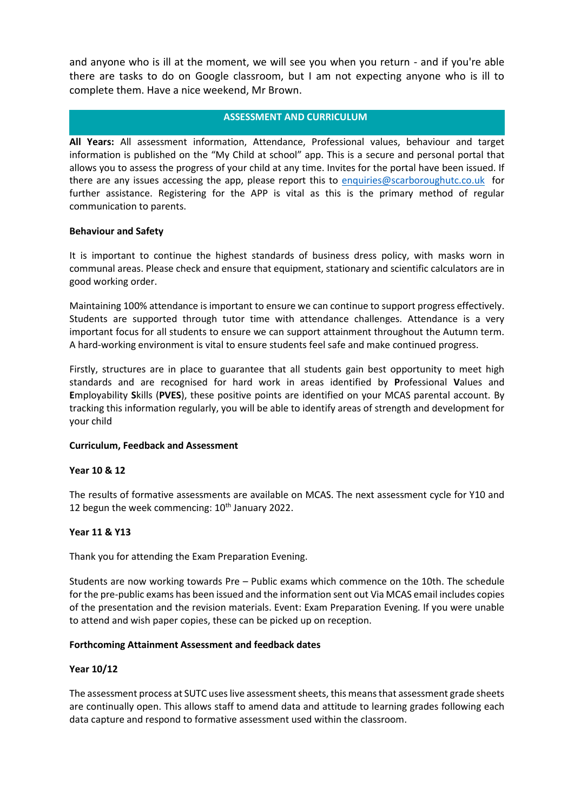and anyone who is ill at the moment, we will see you when you return - and if you're able there are tasks to do on Google classroom, but I am not expecting anyone who is ill to complete them. Have a nice weekend, Mr Brown.

#### **ASSESSMENT AND CURRICULUM**

**All Years:** All assessment information, Attendance, Professional values, behaviour and target information is published on the "My Child at school" app. This is a secure and personal portal that allows you to assess the progress of your child at any time. Invites for the portal have been issued. If there are any issues accessing the app, please report this to [enquiries@scarboroughutc.co.uk](mailto:enquiries@scarboroughutc.co.uk) for further assistance. Registering for the APP is vital as this is the primary method of regular communication to parents.

# **Behaviour and Safety**

It is important to continue the highest standards of business dress policy, with masks worn in communal areas. Please check and ensure that equipment, stationary and scientific calculators are in good working order.

Maintaining 100% attendance is important to ensure we can continue to support progress effectively. Students are supported through tutor time with attendance challenges. Attendance is a very important focus for all students to ensure we can support attainment throughout the Autumn term. A hard-working environment is vital to ensure students feel safe and make continued progress.

Firstly, structures are in place to guarantee that all students gain best opportunity to meet high standards and are recognised for hard work in areas identified by **P**rofessional **V**alues and **E**mployability **S**kills (**PVES**), these positive points are identified on your MCAS parental account. By tracking this information regularly, you will be able to identify areas of strength and development for your child

#### **Curriculum, Feedback and Assessment**

#### **Year 10 & 12**

The results of formative assessments are available on MCAS. The next assessment cycle for Y10 and 12 begun the week commencing:  $10<sup>th</sup>$  January 2022.

# **Year 11 & Y13**

Thank you for attending the Exam Preparation Evening.

Students are now working towards Pre – Public exams which commence on the 10th. The schedule for the pre-public exams has been issued and the information sent out Via MCAS email includes copies of the presentation and the revision materials. Event: Exam Preparation Evening. If you were unable to attend and wish paper copies, these can be picked up on reception.

#### **Forthcoming Attainment Assessment and feedback dates**

#### **Year 10/12**

The assessment process at SUTC uses live assessment sheets, this means that assessment grade sheets are continually open. This allows staff to amend data and attitude to learning grades following each data capture and respond to formative assessment used within the classroom.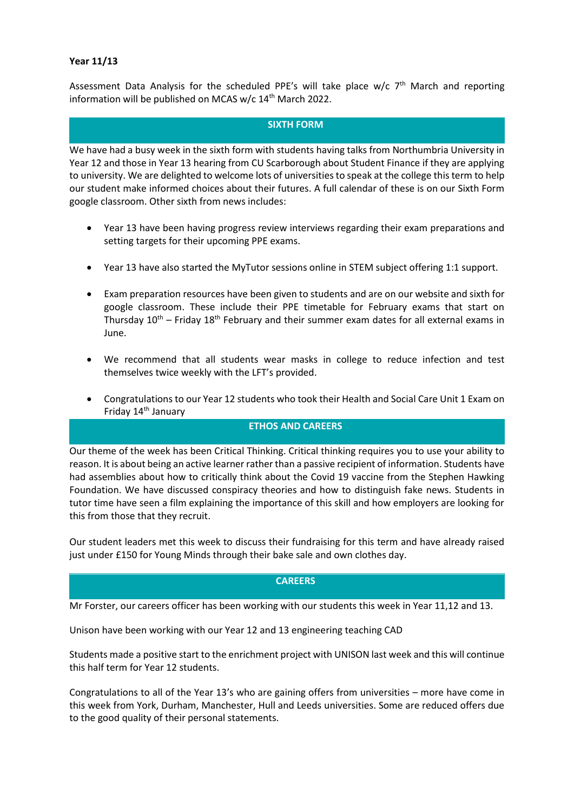#### **Year 11/13**

Assessment Data Analysis for the scheduled PPE's will take place w/c 7<sup>th</sup> March and reporting information will be published on MCAS w/c 14<sup>th</sup> March 2022.

#### **SIXTH FORM**

We have had a busy week in the sixth form with students having talks from Northumbria University in Year 12 and those in Year 13 hearing from CU Scarborough about Student Finance if they are applying to university. We are delighted to welcome lots of universities to speak at the college this term to help our student make informed choices about their futures. A full calendar of these is on our Sixth Form google classroom. Other sixth from news includes:

- Year 13 have been having progress review interviews regarding their exam preparations and setting targets for their upcoming PPE exams.
- Year 13 have also started the MyTutor sessions online in STEM subject offering 1:1 support.
- Exam preparation resources have been given to students and are on our website and sixth for google classroom. These include their PPE timetable for February exams that start on Thursday  $10^{th}$  – Friday  $18^{th}$  February and their summer exam dates for all external exams in June.
- We recommend that all students wear masks in college to reduce infection and test themselves twice weekly with the LFT's provided.
- Congratulations to our Year 12 students who took their Health and Social Care Unit 1 Exam on Friday 14<sup>th</sup> January

#### **ETHOS AND CAREERS**

Our theme of the week has been Critical Thinking. Critical thinking requires you to use your ability to reason. It is about being an active learner rather than a passive recipient of information. Students have had assemblies about how to critically think about the Covid 19 vaccine from the Stephen Hawking Foundation. We have discussed conspiracy theories and how to distinguish fake news. Students in tutor time have seen a film explaining the importance of this skill and how employers are looking for this from those that they recruit.

Our student leaders met this week to discuss their fundraising for this term and have already raised just under £150 for Young Minds through their bake sale and own clothes day.

#### **CAREERS**

Mr Forster, our careers officer has been working with our students this week in Year 11,12 and 13.

Unison have been working with our Year 12 and 13 engineering teaching CAD

Students made a positive start to the enrichment project with UNISON last week and this will continue this half term for Year 12 students.

Congratulations to all of the Year 13's who are gaining offers from universities – more have come in this week from York, Durham, Manchester, Hull and Leeds universities. Some are reduced offers due to the good quality of their personal statements.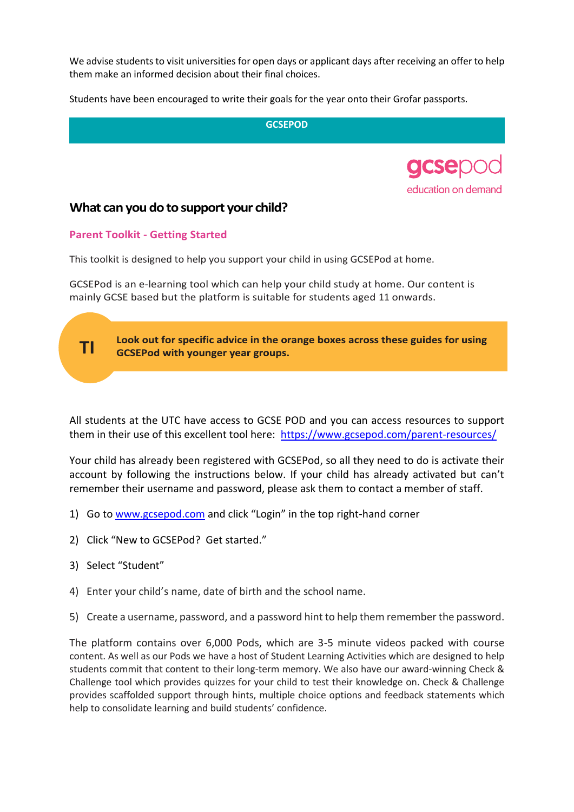We advise students to visit universities for open days or applicant days after receiving an offer to help them make an informed decision about their final choices.

Students have been encouraged to write their goals for the year onto their Grofar passports.

**GCSEPOD**



# **What can you do to support your child?**

# **Parent Toolkit - Getting Started**

This toolkit is designed to help you support your child in using GCSEPod at home.

GCSEPod is an e-learning tool which can help your child study at home. Our content is mainly GCSE based but the platform is suitable for students aged 11 onwards.



All students at the UTC have access to GCSE POD and you can access resources to support them in their use of this excellent tool here: <https://www.gcsepod.com/parent-resources/>

Your child has already been registered with GCSEPod, so all they need to do is activate their account by following the instructions below. If your child has already activated but can't remember their username and password, please ask them to contact a member of staff.

- 1) Go t[o www.gcsepod.com](http://www.gcsepod.com/) and click "Login" in the top right-hand corner
- 2) Click "New to GCSEPod? Get started."
- 3) Select "Student"
- 4) Enter your child's name, date of birth and the school name.
- 5) Create a username, password, and a password hint to help them remember the password.

The platform contains over 6,000 Pods, which are 3-5 minute videos packed with course content. As well as our Pods we have a host of Student Learning Activities which are designed to help students commit that content to their long-term memory. We also have our award-winning Check & Challenge tool which provides quizzes for your child to test their knowledge on. Check & Challenge provides scaffolded support through hints, multiple choice options and feedback statements which help to consolidate learning and build students' confidence.